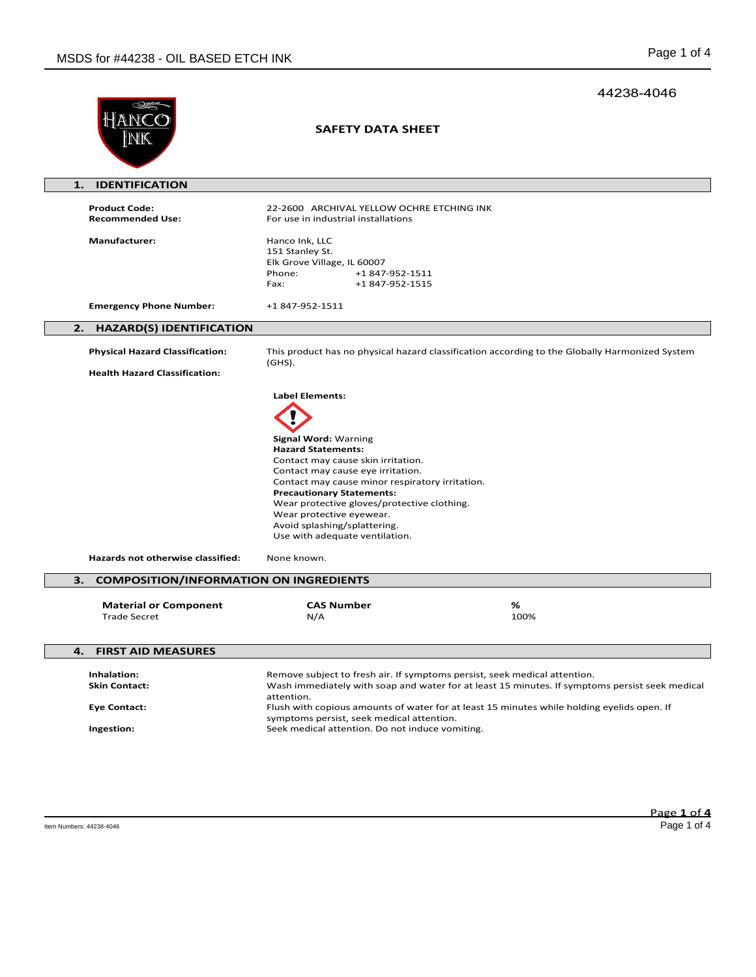|                                                                          |                                                                                                                                                                                                                                                                                                                                                                                         | 44238-4046 |
|--------------------------------------------------------------------------|-----------------------------------------------------------------------------------------------------------------------------------------------------------------------------------------------------------------------------------------------------------------------------------------------------------------------------------------------------------------------------------------|------------|
|                                                                          | <b>SAFETY DATA SHEET</b>                                                                                                                                                                                                                                                                                                                                                                |            |
| <b>IDENTIFICATION</b><br>1.                                              |                                                                                                                                                                                                                                                                                                                                                                                         |            |
| <b>Product Code:</b><br><b>Recommended Use:</b>                          | 22-2600 ARCHIVAL YELLOW OCHRE ETCHING INK<br>For use in industrial installations                                                                                                                                                                                                                                                                                                        |            |
| <b>Manufacturer:</b>                                                     | Hanco Ink, LLC<br>151 Stanley St.<br>Elk Grove Village, IL 60007<br>Phone:<br>+1847-952-1511<br>+1847-952-1515<br>Fax:                                                                                                                                                                                                                                                                  |            |
| <b>Emergency Phone Number:</b>                                           | +1 847-952-1511                                                                                                                                                                                                                                                                                                                                                                         |            |
| <b>HAZARD(S) IDENTIFICATION</b><br>2.                                    |                                                                                                                                                                                                                                                                                                                                                                                         |            |
| <b>Physical Hazard Classification:</b>                                   | This product has no physical hazard classification according to the Globally Harmonized System<br>$(GHS)$ .                                                                                                                                                                                                                                                                             |            |
| <b>Health Hazard Classification:</b>                                     |                                                                                                                                                                                                                                                                                                                                                                                         |            |
|                                                                          | <b>Signal Word: Warning</b><br><b>Hazard Statements:</b><br>Contact may cause skin irritation.<br>Contact may cause eye irritation.<br>Contact may cause minor respiratory irritation.<br><b>Precautionary Statements:</b><br>Wear protective gloves/protective clothing.<br>Wear protective eyewear.<br>Avoid splashing/splattering.<br>Use with adequate ventilation.                 |            |
| Hazards not otherwise classified:                                        | None known.                                                                                                                                                                                                                                                                                                                                                                             |            |
| <b>COMPOSITION/INFORMATION ON INGREDIENTS</b><br>з.                      |                                                                                                                                                                                                                                                                                                                                                                                         |            |
| <b>Material or Component</b><br><b>Trade Secret</b>                      | <b>CAS Number</b><br>N/A                                                                                                                                                                                                                                                                                                                                                                | %<br>100%  |
| <b>FIRST AID MEASURES</b><br>4.                                          |                                                                                                                                                                                                                                                                                                                                                                                         |            |
| Inhalation:<br><b>Skin Contact:</b><br><b>Eye Contact:</b><br>Ingestion: | Remove subject to fresh air. If symptoms persist, seek medical attention.<br>Wash immediately with soap and water for at least 15 minutes. If symptoms persist seek medical<br>attention.<br>Flush with copious amounts of water for at least 15 minutes while holding eyelids open. If<br>symptoms persist, seek medical attention.<br>Seek medical attention. Do not induce vomiting. |            |
|                                                                          |                                                                                                                                                                                                                                                                                                                                                                                         |            |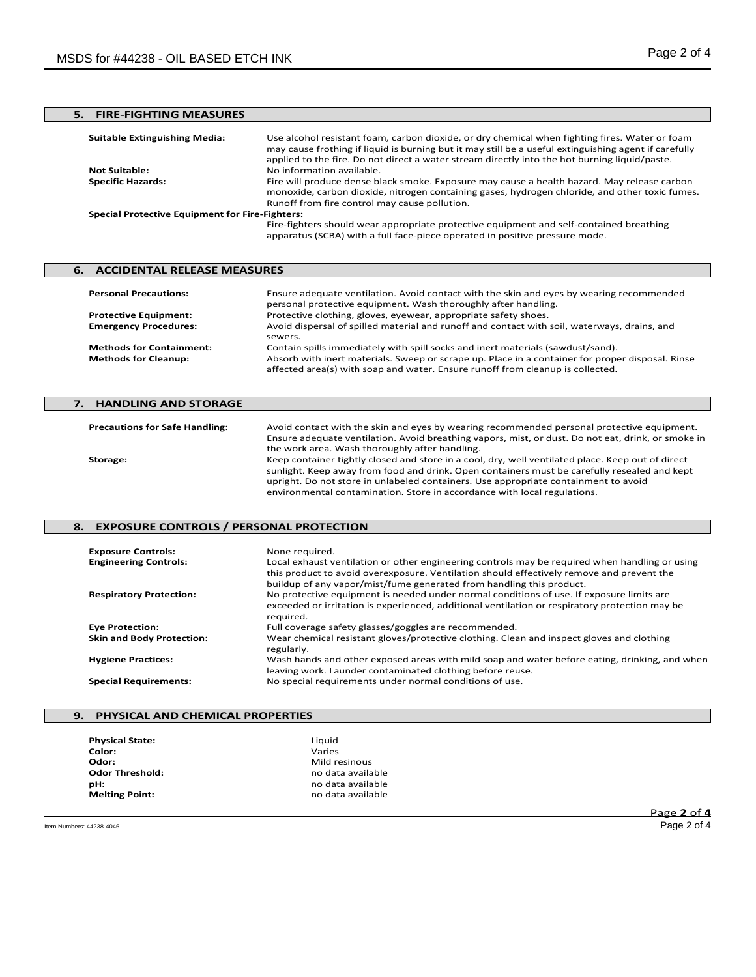# **5. FIRE-FIGHTING MEASURES**

| <b>Suitable Extinguishing Media:</b>                   | Use alcohol resistant foam, carbon dioxide, or dry chemical when fighting fires. Water or foam<br>may cause frothing if liquid is burning but it may still be a useful extinguishing agent if carefully<br>applied to the fire. Do not direct a water stream directly into the hot burning liquid/paste. |  |
|--------------------------------------------------------|----------------------------------------------------------------------------------------------------------------------------------------------------------------------------------------------------------------------------------------------------------------------------------------------------------|--|
| <b>Not Suitable:</b>                                   | No information available.                                                                                                                                                                                                                                                                                |  |
| <b>Specific Hazards:</b>                               | Fire will produce dense black smoke. Exposure may cause a health hazard. May release carbon<br>monoxide, carbon dioxide, nitrogen containing gases, hydrogen chloride, and other toxic fumes.<br>Runoff from fire control may cause pollution.                                                           |  |
| <b>Special Protective Equipment for Fire-Fighters:</b> |                                                                                                                                                                                                                                                                                                          |  |
|                                                        | Fire-fighters should wear appropriate protective equipment and self-contained breathing<br>apparatus (SCBA) with a full face-piece operated in positive pressure mode.                                                                                                                                   |  |

## **6. ACCIDENTAL RELEASE MEASURES Personal Precautions:** Ensure adequate ventilation. Avoid contact with the skin and eyes by wearing recommended personal protective equipment. Wash thoroughly after handling. **Protective Equipment:** Protective clothing, gloves, eyewear, appropriate safety shoes. **Emergency Procedures:** Avoid dispersal of spilled material and runoff and contact with soil, waterways, drains, and sewers. **Methods for Containment:** Contain spills immediately with spill socks and inert materials (sawdust/sand).<br>**Methods for Cleanup:** Absorb with inert materials. Sweep or scrape up. Place in a container for prope

# **7. HANDLING AND STORAGE Precautions for Safe Handling:** Avoid contact with the skin and eyes by wearing recommended personal protective equipment. Ensure adequate ventilation. Avoid breathing vapors, mist, or dust. Do not eat, drink, or smoke in the work area. Wash thoroughly after handling. **Storage:** Keep container tightly closed and store in a cool, dry, well ventilated place. Keep out of direct

sunlight. Keep away from food and drink. Open containers must be carefully resealed and kept upright. Do not store in unlabeled containers. Use appropriate containment to avoid environmental contamination. Store in accordance with local regulations.

affected area(s) with soap and water. Ensure runoff from cleanup is collected.

**Methods for Cleanup:** Absorb with inert materials. Sweep or scrape up. Place in a container for proper disposal. Rinse

### **8. EXPOSURE CONTROLS / PERSONAL PROTECTION**

| <b>Exposure Controls:</b>        | None required.                                                                                                                                                                                                                                                      |
|----------------------------------|---------------------------------------------------------------------------------------------------------------------------------------------------------------------------------------------------------------------------------------------------------------------|
| <b>Engineering Controls:</b>     | Local exhaust ventilation or other engineering controls may be required when handling or using<br>this product to avoid overexposure. Ventilation should effectively remove and prevent the<br>buildup of any vapor/mist/fume generated from handling this product. |
| <b>Respiratory Protection:</b>   | No protective equipment is needed under normal conditions of use. If exposure limits are<br>exceeded or irritation is experienced, additional ventilation or respiratory protection may be<br>required.                                                             |
| <b>Eye Protection:</b>           | Full coverage safety glasses/goggles are recommended.                                                                                                                                                                                                               |
| <b>Skin and Body Protection:</b> | Wear chemical resistant gloves/protective clothing. Clean and inspect gloves and clothing<br>regularly.                                                                                                                                                             |
| <b>Hygiene Practices:</b>        | Wash hands and other exposed areas with mild soap and water before eating, drinking, and when<br>leaving work. Launder contaminated clothing before reuse.                                                                                                          |
| <b>Special Requirements:</b>     | No special requirements under normal conditions of use.                                                                                                                                                                                                             |

### **9. PHYSICAL AND CHEMICAL PROPERTIES**

| <b>Physical State:</b> | Liquid            |
|------------------------|-------------------|
| Color:                 | Varies            |
| Odor:                  | Mild resinous     |
| <b>Odor Threshold:</b> | no data available |
| pН:                    | no data available |
| <b>Melting Point:</b>  | no data available |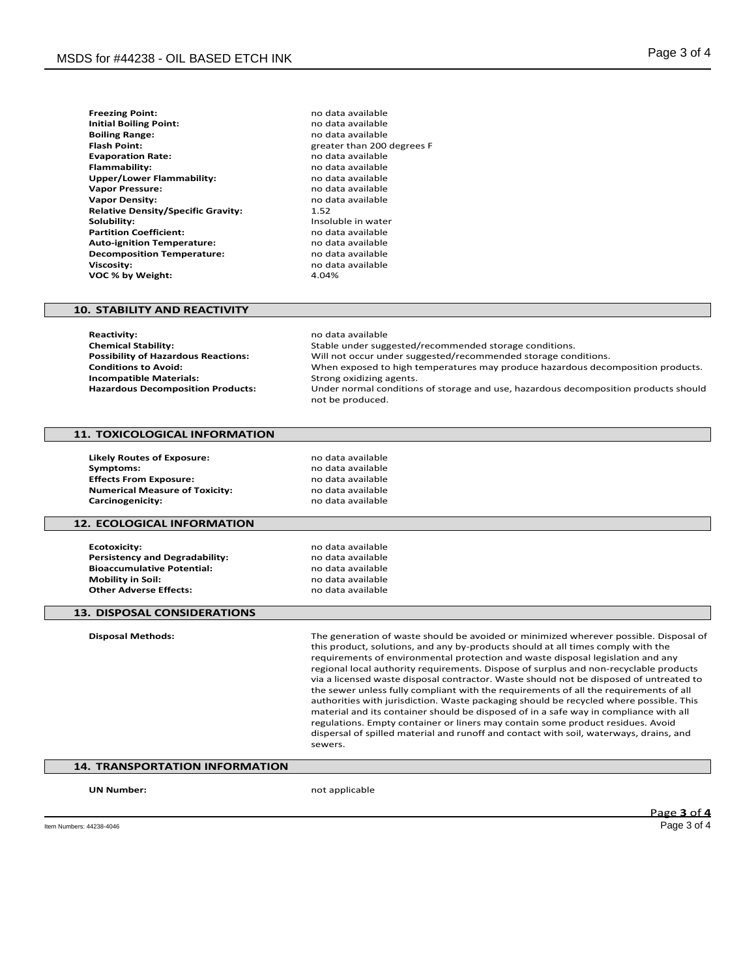| <b>Freezing Point:</b>                    | no dat |
|-------------------------------------------|--------|
| <b>Initial Boiling Point:</b>             | no dat |
| <b>Boiling Range:</b>                     | no dat |
| <b>Flash Point:</b>                       | greate |
| <b>Evaporation Rate:</b>                  | no dat |
| <b>Flammability:</b>                      | no dat |
| Upper/Lower Flammability:                 | no dat |
| <b>Vapor Pressure:</b>                    | no dat |
| <b>Vapor Density:</b>                     | no dat |
| <b>Relative Density/Specific Gravity:</b> | 1.52   |
| Solubility:                               | Insolu |
| <b>Partition Coefficient:</b>             | no dat |
| <b>Auto-ignition Temperature:</b>         | no dat |
| <b>Decomposition Temperature:</b>         | no dat |
| <b>Viscosity:</b>                         | no dat |
| VOC % by Weight:                          | 4.04%  |

**Freezing Point:** no data available **Initial Boiling Point:** no data available **Boiling Range:** no data available **Flash Point:** greater than 200 degrees F **Evaporation Rate:** no data available **Flammability:** no data available **Upper/Lower Flammability:** no data available **Vapor Pressure:** no data available no data available<br>1.52 **Insoluble in water Partition Coefficient:** no data available **Auto-ignition Temperature:** no data available **Decomposition Temperature:** no data available **Viscosity:** no data available

#### **10. STABILITY AND REACTIVITY**

**Reactivity:** no data available<br> **Chemical Stability:** Notably and the Stable under suggested and the Stable under suggested and the Stable under suggested and the Stable under suggested and the Stable under suggested and **Chemical Stability:** Stable under suggested/recommended storage conditions. **Possibility of Hazardous Reactions:** Will not occur under suggested/recommended storage conditions.<br>Conditions to Avoid: When exposed to high temperatures may produce hazardous deco When exposed to high temperatures may produce hazardous decomposition products.<br>Strong oxidizing agents. **Incompatible Materials: Hazardous Decomposition Products:** Under normal conditions of storage and use, hazardous decomposition products should not be produced.

### **11. TOXICOLOGICAL INFORMATION**

**Likely Routes of Exposure:** no data available **Symptoms:** no data available<br>**Effects From Exposure:** exercise the mode data available **Effects From Exposure: Numerical Measure of Toxicity:** no data available<br> **Carcinogenicity:** no data available **Carcinogenicity:** 

#### **12. ECOLOGICAL INFORMATION**

**Ecotoxicity:** no data available<br> **Persistency and Degradability:** example a no data available **Persistency and Degradability:** end and a modata available<br> **Bioaccumulative Potential:** end and a modata available **Bioaccumulative Potential:**<br>Mobility in Soil: **Other Adverse Effects:** 

**Mobility in Soil:** no data available

#### **13. DISPOSAL CONSIDERATIONS**

**Disposal Methods:** The generation of waste should be avoided or minimized wherever possible. Disposal of this product, solutions, and any by-products should at all times comply with the requirements of environmental protection and waste disposal legislation and any regional local authority requirements. Dispose of surplus and non-recyclable products via a licensed waste disposal contractor. Waste should not be disposed of untreated to the sewer unless fully compliant with the requirements of all the requirements of all authorities with jurisdiction. Waste packaging should be recycled where possible. This material and its container should be disposed of in a safe way in compliance with all regulations. Empty container or liners may contain some product residues. Avoid dispersal of spilled material and runoff and contact with soil, waterways, drains, and sewers.

## **14. TRANSPORTATION INFORMATION**

**UN Number:** not applicable

Page **3** of **4**